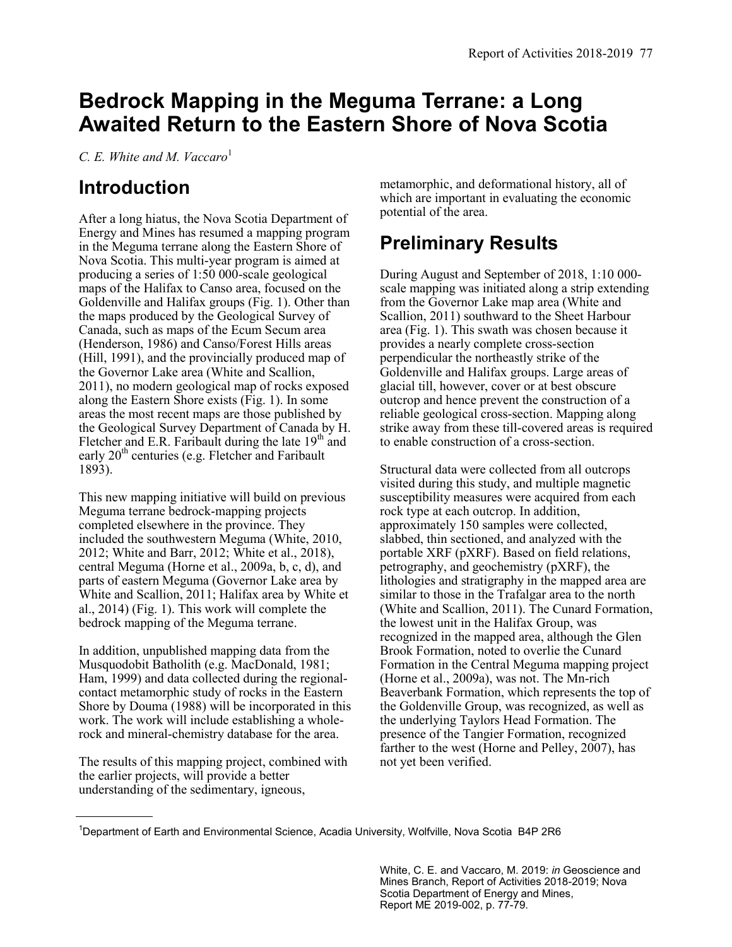# **Bedrock Mapping in the Meguma Terrane: a Long Awaited Return to the Eastern Shore of Nova Scotia**

*C. E. White and M. Vaccaro*<sup>1</sup>

### **Introduction**

After a long hiatus, the Nova Scotia Department of Energy and Mines has resumed a mapping program in the Meguma terrane along the Eastern Shore of Nova Scotia. This multi-year program is aimed at producing a series of 1:50 000-scale geological maps of the Halifax to Canso area, focused on the Goldenville and Halifax groups (Fig. 1). Other than the maps produced by the Geological Survey of Canada, such as maps of the Ecum Secum area (Henderson, 1986) and Canso/Forest Hills areas (Hill, 1991), and the provincially produced map of the Governor Lake area (White and Scallion, 2011), no modern geological map of rocks exposed along the Eastern Shore exists (Fig. 1). In some areas the most recent maps are those published by the Geological Survey Department of Canada by H. Fletcher and E.R. Faribault during the late  $19<sup>th</sup>$  and early  $20<sup>th</sup>$  centuries (e.g. Fletcher and Faribault 1893).

This new mapping initiative will build on previous Meguma terrane bedrock-mapping projects completed elsewhere in the province. They included the southwestern Meguma (White, 2010, 2012; White and Barr, 2012; White et al., 2018), central Meguma (Horne et al., 2009a, b, c, d), and parts of eastern Meguma (Governor Lake area by White and Scallion, 2011; Halifax area by White et al., 2014) (Fig. 1). This work will complete the bedrock mapping of the Meguma terrane.

In addition, unpublished mapping data from the Musquodobit Batholith (e.g. MacDonald, 1981; Ham, 1999) and data collected during the regionalcontact metamorphic study of rocks in the Eastern Shore by Douma (1988) will be incorporated in this work. The work will include establishing a wholerock and mineral-chemistry database for the area.

The results of this mapping project, combined with the earlier projects, will provide a better understanding of the sedimentary, igneous,

metamorphic, and deformational history, all of which are important in evaluating the economic potential of the area.

## **Preliminary Results**

During August and September of 2018, 1:10 000 scale mapping was initiated along a strip extending from the Governor Lake map area (White and Scallion, 2011) southward to the Sheet Harbour area (Fig. 1). This swath was chosen because it provides a nearly complete cross-section perpendicular the northeastly strike of the Goldenville and Halifax groups. Large areas of glacial till, however, cover or at best obscure outcrop and hence prevent the construction of a reliable geological cross-section. Mapping along strike away from these till-covered areas is required to enable construction of a cross-section.

Structural data were collected from all outcrops visited during this study, and multiple magnetic susceptibility measures were acquired from each rock type at each outcrop. In addition, approximately 150 samples were collected, slabbed, thin sectioned, and analyzed with the portable XRF (pXRF). Based on field relations, petrography, and geochemistry (pXRF), the lithologies and stratigraphy in the mapped area are similar to those in the Trafalgar area to the north (White and Scallion, 2011). The Cunard Formation, the lowest unit in the Halifax Group, was recognized in the mapped area, although the Glen Brook Formation, noted to overlie the Cunard Formation in the Central Meguma mapping project (Horne et al., 2009a), was not. The Mn-rich Beaverbank Formation, which represents the top of the Goldenville Group, was recognized, as well as the underlying Taylors Head Formation. The presence of the Tangier Formation, recognized farther to the west (Horne and Pelley, 2007), has not yet been verified.

White, C. E. and Vaccaro, M. 2019: *in* Geoscience and Mines Branch, Report of Activities 2018-2019; Nova Scotia Department of Energy and Mines, Report ME 2019-002, p. 77-79.

<sup>1</sup>Department of Earth and Environmental Science, Acadia University, Wolfville, Nova Scotia B4P 2R6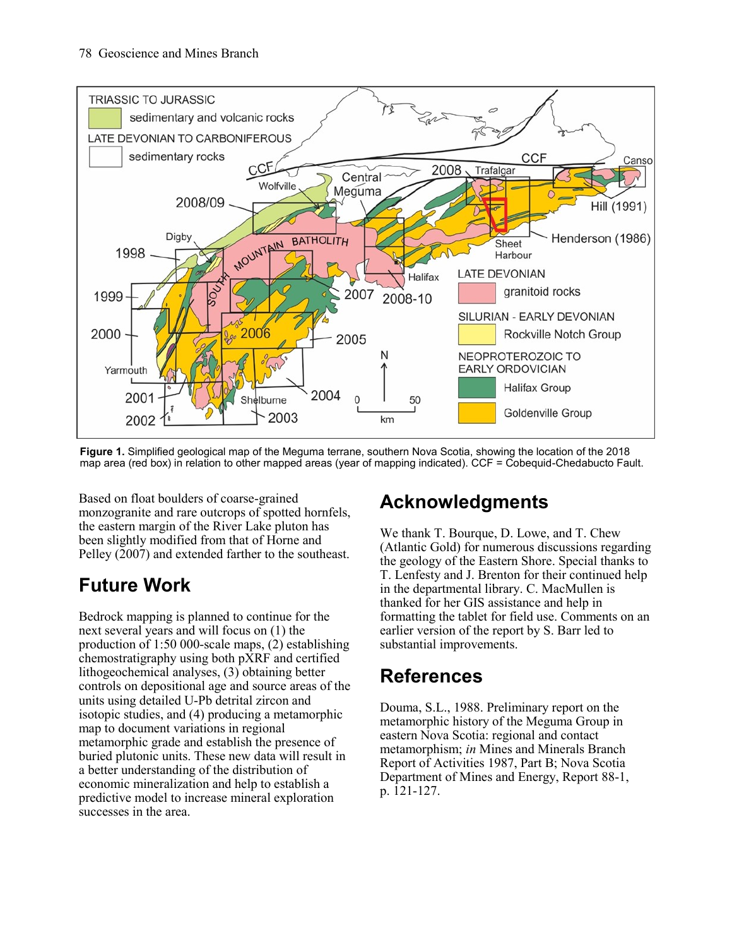

**Figure 1.** Simplified geological map of the Meguma terrane, southern Nova Scotia, showing the location of the 2018 map area (red box) in relation to other mapped areas (year of mapping indicated). CCF = Cobequid-Chedabucto Fault.

Based on float boulders of coarse-grained monzogranite and rare outcrops of spotted hornfels, the eastern margin of the River Lake pluton has been slightly modified from that of Horne and Pelley (2007) and extended farther to the southeast.

## **Future Work**

Bedrock mapping is planned to continue for the next several years and will focus on (1) the production of 1:50 000-scale maps, (2) establishing chemostratigraphy using both pXRF and certified lithogeochemical analyses, (3) obtaining better controls on depositional age and source areas of the units using detailed U-Pb detrital zircon and isotopic studies, and (4) producing a metamorphic map to document variations in regional metamorphic grade and establish the presence of buried plutonic units. These new data will result in a better understanding of the distribution of economic mineralization and help to establish a predictive model to increase mineral exploration successes in the area.

## **Acknowledgments**

We thank T. Bourque, D. Lowe, and T. Chew (Atlantic Gold) for numerous discussions regarding the geology of the Eastern Shore. Special thanks to T. Lenfesty and J. Brenton for their continued help in the departmental library. C. MacMullen is thanked for her GIS assistance and help in formatting the tablet for field use. Comments on an earlier version of the report by S. Barr led to substantial improvements.

## **References**

Douma, S.L., 1988. Preliminary report on the metamorphic history of the Meguma Group in eastern Nova Scotia: regional and contact metamorphism; *in* Mines and Minerals Branch Report of Activities 1987, Part B; Nova Scotia Department of Mines and Energy, Report 88-1, p. 121-127.